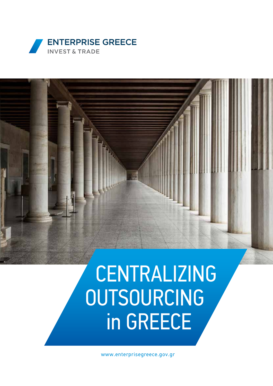



# CENTRALIZING OUTSOURCING in GREECE

www.enterprisegreece.gov.gr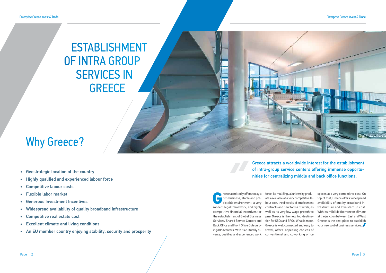Freece admittedly offers today a<br>pro-business, stable and pre-<br>dictable environment, a very<br>modern legal framework, and bigbly pro-business, stable and predictable environment, a very modern legal framework, and highly competitive financial incentives for the establishment of Global Business Services/ Shared Service Centers and Back Office and Front Office Outsourcing/BPO centers. With its culturally diverse, qualified and experienced work

### ESTABLISHMENT OF INTRA GROUP SERVICES IN **GREECE**

force, its multilingual university graduates available at a very competitive labour cost, the diversity of employment contracts and new forms of work, as well as its very low wage growth να μπει Greece is the new top destination for SSCs and BPOs. What is more, Greece is well connected and easy to travel, offers appealing choices of conventional and coworking office

spaces at a very competitive cost. On top of that, Greece offers widespread availability of quality broadband infrastructure and low-start up cost. With its mild Mediterranean climate at the junction between East and West Greece is the best place to establish your new global business services.

### Why Greece?

Greece attracts a worldwide interest for the establishment of intra-group service centers offering immense opportunities for centralizing middle and back office functions.

#### Enterprise Greece Invest & Trade



- Geostrategic location of the country
- Highly qualified and experienced labour force
- Competitive labour costs
- Flexible labor market
- Generous Investment Incentives
- Widespread availability of quality broadband infrastructure
- Competitive real estate cost
- Excellent climate and living conditions
- An EU member country enjoying stability, security and prosperity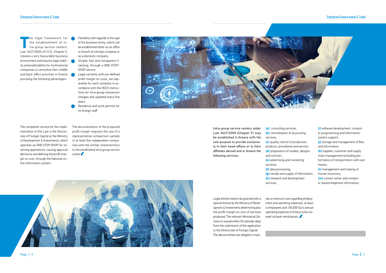#### Enterprise Greece Invest & Trade Enterprise Greece Invest & Trade



**The legal framework for<br>the establishment of in-<br>tra-group service centers,<br>Law 3/27/2005 (A'312) Chanter E** the establishment of intra-group service centers, Law 3427/2005 (A'312), Chapter F, creates a very favourable business environment and ensures legal stability and predictability for multinational companies to centralize their middle and back-office activities in Greece providing the following advantages:

The legal framework for  $\bigcirc$  Flexibility with regards to the type of the business entity, which can be established either as an office or branch of a foreign company or as a domestic company

> The documentation of the proposed profit margin requires the use of a representative comparison sample of at least five independent companies with the similar characteristics to the established intra group service center

- Simple, fast and transparent licensing, through a ONE-STOP-SHOP service
- Legal certainty with pre-defined profit margin on costs, set separately for each company in accordance with the OECD instructions for intra-group transaction charges and updated every five years.
- Residence and work permits for its foreign staff

The competent service for the implementation of this Law is the Directorate of Foreign Capital at the Ministry of Development & Investments, which operates as ONE STOP SHOP for receiving applications, issuing approval decisions and defining the profit margin on cost, through the National online information system.

Intra-group service centers under Law 3427/2005 (Chapter F) may be established in Greece with the sole purpose to provide exclusively to their head-offices or to their affiliates abroad and in Greece the following services:

**(a)** consulting services, **(b)** centralization of accounting services,

**(c)** quality control of production, products, procedures and service, **(d)** preparation of studies, designs

and contract,

**(e)** advertising and marketing services,

**(f)** data processing,

**(g)** receipt and supply of information, **(h)** research and development

services,

**(i)** software development, computer programming and information system support, **(j)** storage and management of files and information, **(k)** supplier, customer and supply chain management excluding performance of transportation with own means, **(l)** management and training of human resources, **(m)** contact center and comput-

er-based telephone information.

Legal entities need to be granted with a special license by the Ministry of Development & Investments determining also the profit margin on cost of services produced. The relevant Ministerial Decision is issued within 50 calendar days from the submission of the application to the Directorate of Foreign Capital. The above entities are obliged to maintain a minimum size regarding employment and operating expenses, at least 4 employees and 100,000 Euro annual operating expenses in Greece to be covered via bank remittances.

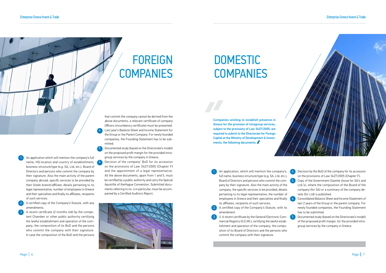An application which will mention the company's full name, HQ location and country of establishment, business structure/type (e.g. SA, Ltd, etc.), Board of Directors and persons who commit the company by their signature. Also the main activity of the parent company abroad, specific services to be provided by their Greek branch/affiliate, details pertaining to its legal representative, number of employees in Greece and their specialties and finally its affiliates, recipients of such services.

**2.** A certified copy of the Company's Statute, with any amendments.

A recent certificate (2 months old) by the competent Chamber or other public authority certifying the lawful establishment and operation of the company, the composition of its BoD and the persons who commit the company with their signature. In case the composition of the BoD and the persons

Decision of the company' BoD for its accession on the provisions of Law 3427/2005 (Chapter F) and the appointment of a legal representative. All the above documents, apart from 1 and 5, must be certified by a public authority and carry the Special Apostille of theHague Convention. Submitted documents referring to no. 4 in particular, must be accompanied by a Certified Auditors Report.

that commit the company cannot be derived from the above documents, a relevant certificate of company Officers (incumbency certificate) must be presented. Last year's Balance Sheet and Income Statement for the Group or the Parent Company. For newly founded companies, the Founding Statement has to be submitted.

> An application, which will mention the company's, full name, business structure/type (e.g. SA, Ltd, etc.), Board of Directors and persons who commit the company by their signature. Also the main activity of the company, the specific services to be provided, details pertaining to its legal representative, the number of employees in Greece and their specialties and finally its affiliates, recipients of such services.

3. A recent certificate by the General Electronic Commercial Registry (G.E.MI.), certifying the lawful establishment and operation of the company, the composition of its Board of Directors and the persons who commit the company with their signature.

5. Documented study (based on the Directorate's model) on the proposed profit margin for the provided intragroup services by the company in Greece.

- **4.** Decision by the BoD of the company for its accession on the provisions of Law 3427/2005 (Chapter F).
- 5. Copy of the Government Gazette (Issue for SA's and Ltd.'s), where the composition of the Board of the company (for SA) or a summary of the company details (for Ltd) is published
- 6. Consolidated Balance Sheet and Income Statement of last 2 years of the Group or the parent company. For newly founded companies, the Founding Statement has to be submitted.
- Documented study (based on the Directorate's model) of the proposed profit margin, for the provided intragroup services by the company in Greece.

# FOREIGN **COMPANIES**

## **DOMESTIC COMPANIES**

2. A certified copy of the Company's Statute, with its amendment.

Companies wishing to establish presence in Greece for the provision of intragroup services, subject to the provisions of Law 3427/2005, are required to submit to the Directorate for Foreign Capital at the Ministry of Development & Investments, the following documents:

#### Enterprise Greece Invest & Trade

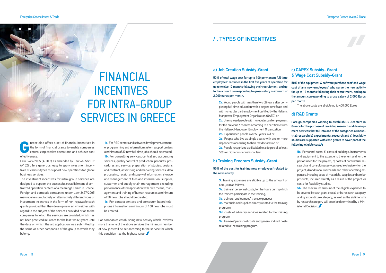### / . TYPES OF INCENTIVES

Freece also offers a set of financial incentives in<br>the form of financial grants to enable companies<br>centralizing captive operations and achieve cost<br>effectiveness the form of financial grants to enable companies centralizing captive operations and achieve cost effectiveness.

Law 3427/2005 (A' 312) as amended by Law 4605/2019 (A' 52) offers generous, easy to apply investment incentives of various types to support new operations for global business services.

The investment incentives for intra-group services are designed to support the successful establishment of centralized operation centers of a meaningful size**<sup>1</sup>** in Greece. Foreign and domestic companies under Law 3427/2005 may receive cumulatively or alternatively different types of investment incentives in the form of non-repayable cash grants provided that they develop new activity either with regard to the subject of the services provided or as to the companies to which the services are provided, which has not been practiced in Greece for the last two (2) years until the date on which the aid application was submitted by the same or other companies of the group to which they belong.

For companies establishing new activity which involves more than one of the above services the minimum number of new jobs will be set according to the service for which this condition has the highest value.

**2c.** Experienced people over 50 years' old or 2d. People who live as single adults with one or more

**1a.** For R&D centers and software development, computer programming and information system support centers a minimum of 30 new full-time jobs should be created. **1b.** For consulting services, centralized accounting services, quality control of production, products, procedures and service, preparation of studies, designs and contract, advertising and marketing services, data processing, receipt and supply of information, storage and management of files and information, supplier, customer and supply chain management excluding performance of transportation with own means, management and training of human resources a minimum of 50 new jobs should be created.

50% of the cost for training new employees $3$  related to the new activity

**3d.** costs of advisory services related to the training program

**1c.** For contact centers and computer-based telephone information a minimum of 100 new jobs must be created.

 $50\%$  of the equipment & software purchase cost<sup>4</sup> and wage cost of any new employees<sup>4</sup> who serve the new activity for up to 12 months following their recruitment, and up to the amount corresponding to gross salary of 2,000 Euros per month.

Foreign companies wishing to establish R&D centers in Greece for the purpose of providing research and development services that fall into one of the categories a) industrial research; b) experimental research and c) feasibility studies are supported with cash grants to cover part of the following eligible costs<sup>5</sup>:

#### a) Job Creation Subsidy-Grant

50% of total wage cost for up to 100 permanent full time employees**<sup>2</sup>** recruited in the first five years of operation for up to twelve 12 months following their recruitment, and up to the amount corresponding to gross salary maximum of 2,000 euros per month.

> **5b.** The maximum amount of the eligible expenses to be covered by cash grant overall or by research category and by expenditure category, as well as the aid intensity by research category will soon be determined by a Ministerial Decision.

**2a.** Young people with less than two (2) years after completing full-time education with a degree certificate and with no regular paid employment certified by the Hellenic Manpower Employment Organization (OAED) or **2b.** Unemployed people with no regular paid employment

for the previous 6 months according to a certificate from the Hellenic Manpower Employment Organization

dependents according to their tax declaration or

**2e.** People recognized as disabled to a degree of at least 50% or higher under national law.

#### b) Training Program Subsidy-Grant

- **3.** Training expenses are eligible up to the amount of €500,000 as follows:
- **3a.** trainers' personnel costs, for the hours during which the trainers participate in the training;
- **3b.** trainers' and trainees' travel expenses;
- **3c.** materials and supplies directly related to the training program;

**3e.** trainees' personnel costs and general indirect costs related to the training program.

#### c) CAPEX Subsidy- Grant & Wage Cost Subsidy-Grant

The above costs are eligible up to 400,000 Euros

#### d) R&D Grants

**5a.** Personnel costs; b) costs of buildings, instruments and equipment to the extent e to the extent and for the period used for the project; c) costs of contractual research and consulting services used exclusively for the project; d) additional overheads and other operating expenses, including costs of materials, supplies and similar products, incurred directly as a result of the project; e) costs for feasibility studies.

#### Enterprise Greece Invest & Trade Enterprise Greece Invest & Trade



### FINANCIAL **INCENTIVES** FOR INTRA-GROUP SERVICES IN GREECE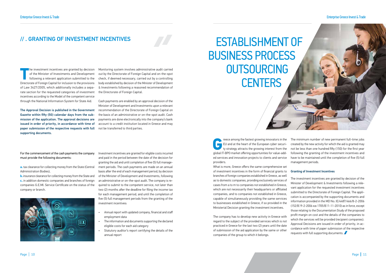### // . GRANTING OF INVESTMENT INCENTIVES

**The investment incentives are granted by decision<br>of the Minister of Investments and Development<br>following a relevant application submitted to the<br>Directorate of Foreign Capital for inclusion to the provisions** of the Minister of Investments and Development following a relevant application submitted to the Directorate of Foreign Capital for inclusion to the provisions of Law 3427/2005, which additionally includes a separate section for the requested categories of investment incentives according to the Model of the competent service through the National Information System for State Aid.

The Approval Decision is published in the Government Gazette within fifty (50) calendar days from the submission of the application. The approval decisions are issued in order of priority, in accordance with time of paper submission of the respective requests with full supporting documents.

Monitoring system involves administrative audit carried out by the Directorate of Foreign Capital and on-the-spot check, if deemed necessary, carried out by a controlling body established by decision of the Minister of Development & Investments following a reasoned recommendation of the Directorate of Foreign Capital.

**Albert Street** 

Cash payments are enabled by an approval decision of the Minister of Development and Investments upon a relevant recommendation of the Directorate of Foreign Capital on the basis of an administrative or on-the-spot audit. Cash payments are done electronically into the company's bank account to a credit institution located in Greece and may not be transferred to third parties.

Investment incentives are granted for eligible costs incurred and paid in the period between the date of the decision for granting the aid and until completion of five (5) full management periods. The cash payments are made on an annual basis after the end of each management period, by decision of the Minister of Development and Investments, following an administrative or on-the-spot audit. The company is required to submit to the competent service, not later than two (2) months after the deadline for filing the income tax for each management period, and until the completion of five (5) full management periods from the granting of the investment incentives:

For the fastest growing innovators in the<br>EU and at the heart of the European cyber security strategy attracts the growing interest from the<br>global IT-BPO market offering opportunities for value-add-EU and at the heart of the European cyber security strategy attracts the growing interest from the global IT-BPO market offering opportunities for value-added services and innovation projects to clients and service providers. The minimum number of new permanent full-time jobs created by the new activity for which the aid is granted may not be less than one hundred fifty (150) for the first year following the granting of the investment incentives and have to be maintained until the completion of five (5) full management periods.

- Annual report with updated company, financial and staff employment data
- The information and documents supporting the declared eligible costs for each aid category
- Statutory auditor's report certifying the details of the annual report

### ESTABLISHMENT OF BUSINESS PROCESS **OUTSOURCING CENTERS**

What is more, Greece offers the same comprehensive set of investment incentives in the form of financial grants to branches of foreign companies established in Greece, as well as to domestic companies, providing exclusively services of cases from a to m to companies not established in Greece, which are not necessarily their headquarters or affiliated companies, and to companies not established in Greece, capable of simultaneously providing the same services to businesses established in Greece, if so provided in the Ministerial Decision granting the investment incentives.

The company has to develop new activity in Greece with regard to the subject of the provided services which is not practiced in Greece for the last two (2) years until the date of submission of the aid application by the same or other companies of the group to which it belongs.

#### Granting of Investment Incentives

The investment incentives are granted by decision of the Minister of Development & Investments following a relevant application for the requested investment incentives submitted to the Directorate of Foreign Capital. The application is accompanied by the supporting documents and information provided in the MD No. ΙΕ/4487/466/8-2-2006 (152/Β'/9-2-2006 και 1705/Β'/1-11-2010) as in force, except those relating to the Documentation Study of the proposed profit margin on cost and the details of the companies to which the services will be provided (recipient companies). Approval Decisions are issued in order of priority, in accordance with time of paper submission of the respective requests with full supporting documents.

#### Enterprise Greece Invest & Trade Enterprise Greece Invest & Trade



For the commencement of the cash payments the company must provide the following documents:

**a.** tax clearance for collecting money from the State (Central Administration Bodies),

**b.** insurance clearance for collecting money from the State and **c.** in addition domestic companies and branches of foreign companies G.E.MI. Service Certificate on the status of the company or branch.